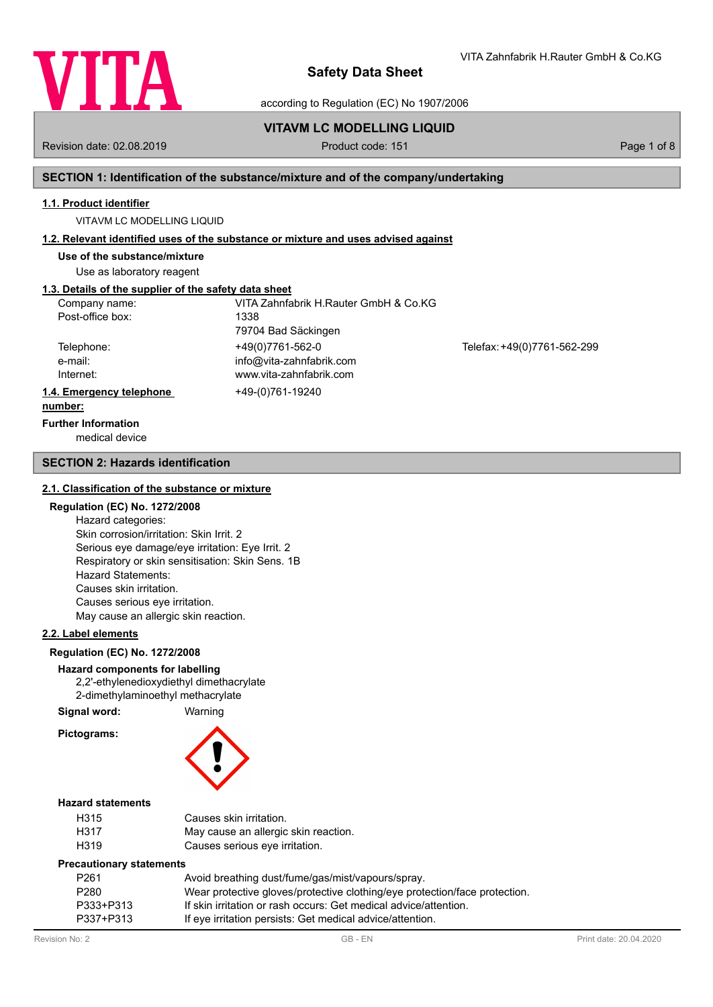

according to Regulation (EC) No 1907/2006

# **VITAVM LC MODELLING LIQUID**

Revision date: 02.08.2019 **Product code: 151** Product code: 151 **Page 1 of 8** Page 1 of 8

VITA Zahnfabrik H.Rauter GmbH & Co.KG

#### **SECTION 1: Identification of the substance/mixture and of the company/undertaking**

#### **1.1. Product identifier**

VITAVM LC MODELLING LIQUID

#### **1.2. Relevant identified uses of the substance or mixture and uses advised against**

**Use of the substance/mixture**

Use as laboratory reagent

# **1.3. Details of the supplier of the safety data sheet**

| Company name:<br>Post-office box:  | VITA Zahnfabrik H.Rauter GmbH & Co.KG<br>1338                           |                             |
|------------------------------------|-------------------------------------------------------------------------|-----------------------------|
|                                    | 79704 Bad Säckingen                                                     |                             |
| Telephone:<br>e-mail:<br>Internet: | +49(0)7761-562-0<br>info@vita-zahnfabrik.com<br>www.vita-zahnfabrik.com | Telefax: +49(0)7761-562-299 |
| 1.4. Emergency telephone           | +49-(0)761-19240                                                        |                             |
| number:                            |                                                                         |                             |

# **Further Information**

medical device

#### **SECTION 2: Hazards identification**

#### **2.1. Classification of the substance or mixture**

#### **Regulation (EC) No. 1272/2008**

Hazard categories: Skin corrosion/irritation: Skin Irrit. 2 Serious eye damage/eye irritation: Eye Irrit. 2 Respiratory or skin sensitisation: Skin Sens. 1B Hazard Statements: Causes skin irritation. Causes serious eye irritation. May cause an allergic skin reaction.

#### **2.2. Label elements**

#### **Regulation (EC) No. 1272/2008**

# **Hazard components for labelling**

2,2'-ethylenedioxydiethyl dimethacrylate 2-dimethylaminoethyl methacrylate

**Signal word:** Warning

**Pictograms:**



#### **Hazard statements**

| H315 | Causes skin irritation.              |
|------|--------------------------------------|
| H317 | May cause an allergic skin reaction. |
| H319 | Causes serious eye irritation.       |

#### **Precautionary statements**

| P <sub>261</sub> | Avoid breathing dust/fume/gas/mist/vapours/spray.                          |
|------------------|----------------------------------------------------------------------------|
| P280             | Wear protective gloves/protective clothing/eye protection/face protection. |
| P333+P313        | If skin irritation or rash occurs: Get medical advice/attention.           |
| P337+P313        | If eye irritation persists: Get medical advice/attention.                  |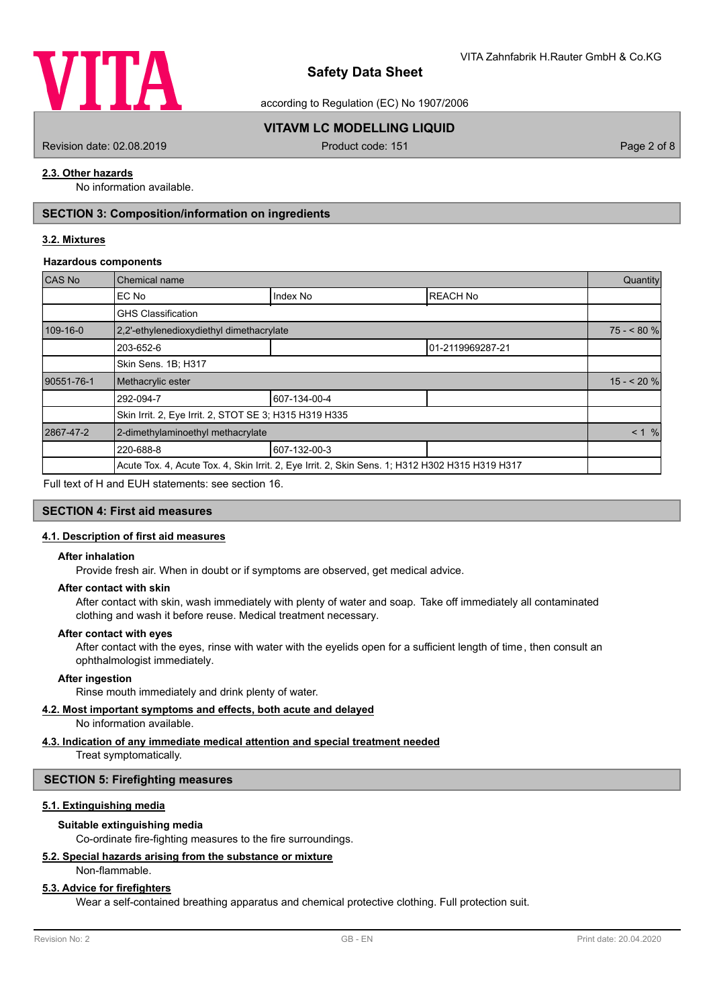

according to Regulation (EC) No 1907/2006

# **VITAVM LC MODELLING LIQUID**

Revision date: 02.08.2019 **Product code: 151** Product code: 151 **Page 2 of 8** Page 2 of 8

#### **2.3. Other hazards**

No information available.

# **SECTION 3: Composition/information on ingredients**

#### **3.2. Mixtures**

#### **Hazardous components**

| CAS No     | Chemical name                                                                                   |              |                  |            |  |
|------------|-------------------------------------------------------------------------------------------------|--------------|------------------|------------|--|
|            | EC No                                                                                           | Index No     | <b>REACH No</b>  |            |  |
|            | <b>GHS Classification</b>                                                                       |              |                  |            |  |
| 109-16-0   | 2,2'-ethylenedioxydiethyl dimethacrylate                                                        |              |                  | $75 - 80%$ |  |
|            | 203-652-6                                                                                       |              | 01-2119969287-21 |            |  |
|            | Skin Sens. 1B; H317                                                                             |              |                  |            |  |
| 90551-76-1 | Methacrylic ester                                                                               |              |                  | $15 - 20%$ |  |
|            | 292-094-7                                                                                       | 607-134-00-4 |                  |            |  |
|            | Skin Irrit. 2, Eye Irrit. 2, STOT SE 3; H315 H319 H335                                          |              |                  |            |  |
| 2867-47-2  | 2-dimethylaminoethyl methacrylate                                                               |              |                  |            |  |
|            | 220-688-8                                                                                       | 607-132-00-3 |                  |            |  |
|            | Acute Tox. 4, Acute Tox. 4, Skin Irrit. 2, Eye Irrit. 2, Skin Sens. 1; H312 H302 H315 H319 H317 |              |                  |            |  |

Full text of H and EUH statements: see section 16.

## **SECTION 4: First aid measures**

#### **4.1. Description of first aid measures**

#### **After inhalation**

Provide fresh air. When in doubt or if symptoms are observed, get medical advice.

#### **After contact with skin**

After contact with skin, wash immediately with plenty of water and soap. Take off immediately all contaminated clothing and wash it before reuse. Medical treatment necessary.

#### **After contact with eyes**

After contact with the eyes, rinse with water with the eyelids open for a sufficient length of time, then consult an ophthalmologist immediately.

#### **After ingestion**

Rinse mouth immediately and drink plenty of water.

#### **4.2. Most important symptoms and effects, both acute and delayed**

No information available.

# **4.3. Indication of any immediate medical attention and special treatment needed**

Treat symptomatically.

#### **SECTION 5: Firefighting measures**

#### **5.1. Extinguishing media**

#### **Suitable extinguishing media**

Co-ordinate fire-fighting measures to the fire surroundings.

#### **5.2. Special hazards arising from the substance or mixture**

Non-flammable.

#### **5.3. Advice for firefighters**

Wear a self-contained breathing apparatus and chemical protective clothing. Full protection suit.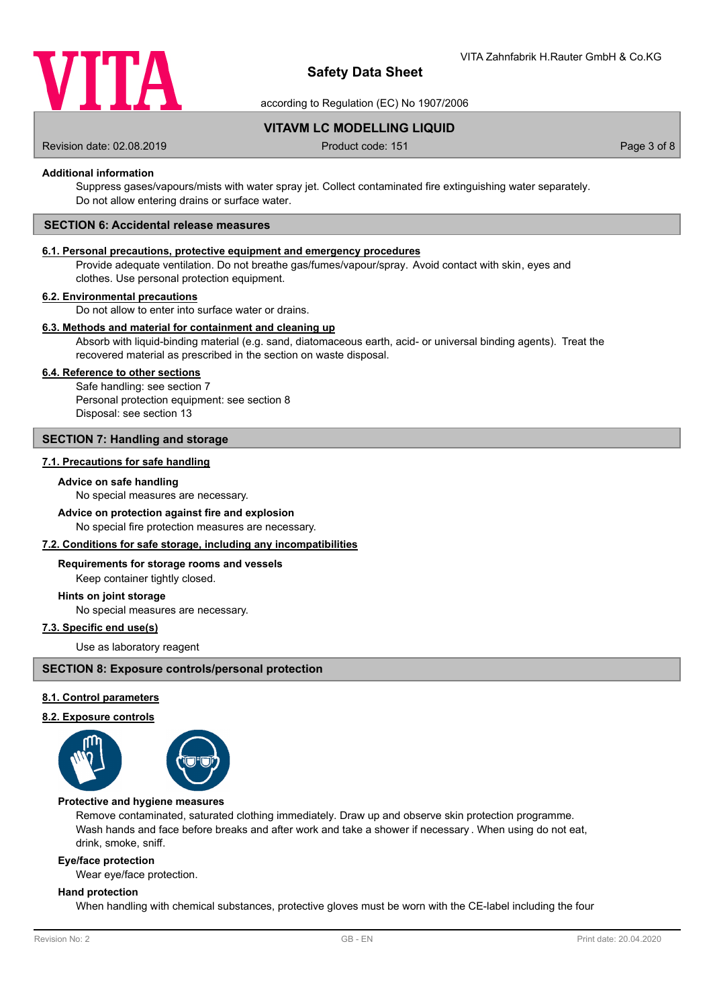

according to Regulation (EC) No 1907/2006

**VITAVM LC MODELLING LIQUID**

Revision date: 02.08.2019 **Product code: 151** Product code: 151 **Page 3 of 8** Page 3 of 8

#### **Additional information**

Suppress gases/vapours/mists with water spray jet. Collect contaminated fire extinguishing water separately. Do not allow entering drains or surface water.

#### **SECTION 6: Accidental release measures**

#### **6.1. Personal precautions, protective equipment and emergency procedures**

Provide adequate ventilation. Do not breathe gas/fumes/vapour/spray. Avoid contact with skin, eyes and clothes. Use personal protection equipment.

#### **6.2. Environmental precautions**

Do not allow to enter into surface water or drains.

#### **6.3. Methods and material for containment and cleaning up**

Absorb with liquid-binding material (e.g. sand, diatomaceous earth, acid- or universal binding agents). Treat the recovered material as prescribed in the section on waste disposal.

#### **6.4. Reference to other sections**

Safe handling: see section 7 Personal protection equipment: see section 8 Disposal: see section 13

#### **SECTION 7: Handling and storage**

#### **7.1. Precautions for safe handling**

#### **Advice on safe handling**

No special measures are necessary.

#### **Advice on protection against fire and explosion**

No special fire protection measures are necessary.

#### **7.2. Conditions for safe storage, including any incompatibilities**

#### **Requirements for storage rooms and vessels**

Keep container tightly closed.

#### **Hints on joint storage**

No special measures are necessary.

# **7.3. Specific end use(s)**

Use as laboratory reagent

#### **SECTION 8: Exposure controls/personal protection**

#### **8.1. Control parameters**

#### **8.2. Exposure controls**



#### **Protective and hygiene measures**

Remove contaminated, saturated clothing immediately. Draw up and observe skin protection programme. Wash hands and face before breaks and after work and take a shower if necessary . When using do not eat, drink, smoke, sniff.

#### **Eye/face protection**

Wear eye/face protection.

#### **Hand protection**

When handling with chemical substances, protective gloves must be worn with the CE-label including the four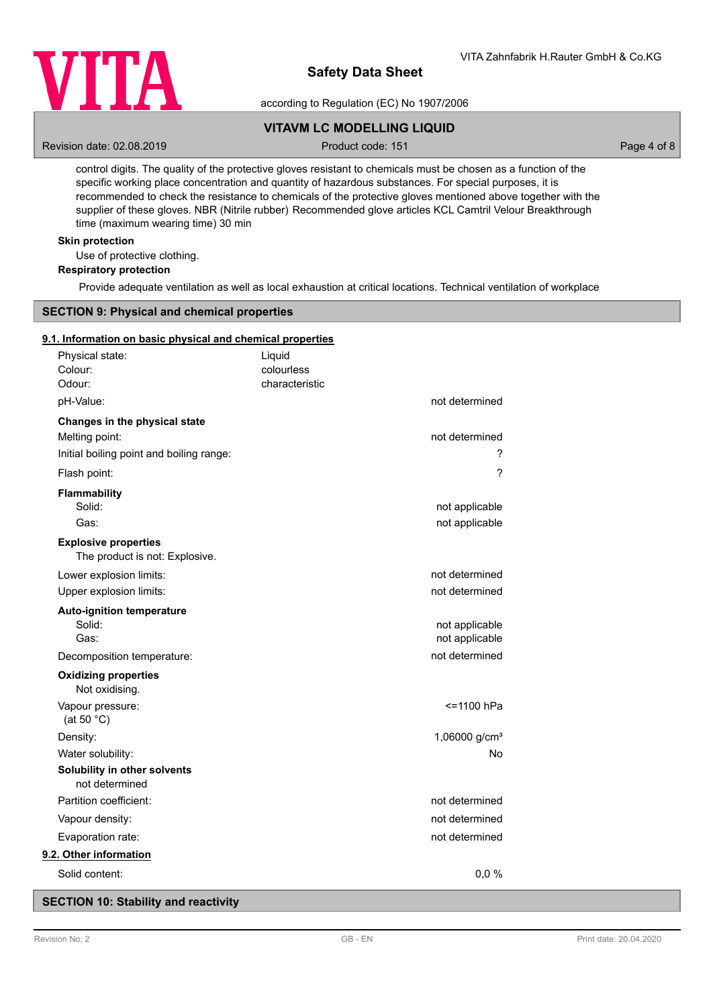

according to Regulation (EC) No 1907/2006

# **VITAVM LC MODELLING LIQUID**

Revision date: 02.08.2019 **Product code: 151** Product code: 151 **Page 4 of 8** Page 4 of 8

control digits. The quality of the protective gloves resistant to chemicals must be chosen as a function of the specific working place concentration and quantity of hazardous substances. For special purposes, it is recommended to check the resistance to chemicals of the protective gloves mentioned above together with the supplier of these gloves. NBR (Nitrile rubber) Recommended glove articles KCL Camtril Velour Breakthrough time (maximum wearing time) 30 min

#### **Skin protection**

Use of protective clothing.

# **Respiratory protection**

Provide adequate ventilation as well as local exhaustion at critical locations. Technical ventilation of workplace

# **SECTION 9: Physical and chemical properties**

#### **9.1. Information on basic physical and chemical properties**

| Physical state:<br>Colour:<br>Odour:                                                        | Liquid<br>colourless<br>characteristic |                                  |
|---------------------------------------------------------------------------------------------|----------------------------------------|----------------------------------|
| pH-Value:                                                                                   |                                        | not determined                   |
| Changes in the physical state<br>Melting point:<br>Initial boiling point and boiling range: |                                        | not determined<br>?              |
| Flash point:                                                                                |                                        | ?                                |
| Flammability<br>Solid:<br>Gas:                                                              |                                        | not applicable<br>not applicable |
| <b>Explosive properties</b><br>The product is not: Explosive.                               |                                        |                                  |
| Lower explosion limits:<br>Upper explosion limits:                                          |                                        | not determined<br>not determined |
| Auto-ignition temperature<br>Solid:<br>Gas:                                                 |                                        | not applicable<br>not applicable |
| Decomposition temperature:<br><b>Oxidizing properties</b><br>Not oxidising.                 |                                        | not determined                   |
| Vapour pressure:<br>(at 50 $°C$ )                                                           |                                        | <=1100 hPa                       |
| Density:                                                                                    |                                        | 1,06000 g/cm <sup>3</sup>        |
| Water solubility:                                                                           |                                        | <b>No</b>                        |
| Solubility in other solvents<br>not determined                                              |                                        |                                  |
| Partition coefficient:                                                                      |                                        | not determined                   |
| Vapour density:                                                                             |                                        | not determined                   |
| Evaporation rate:                                                                           |                                        | not determined                   |
| 9.2. Other information                                                                      |                                        |                                  |
| Solid content:                                                                              |                                        | 0,0%                             |

#### **SECTION 10: Stability and reactivity**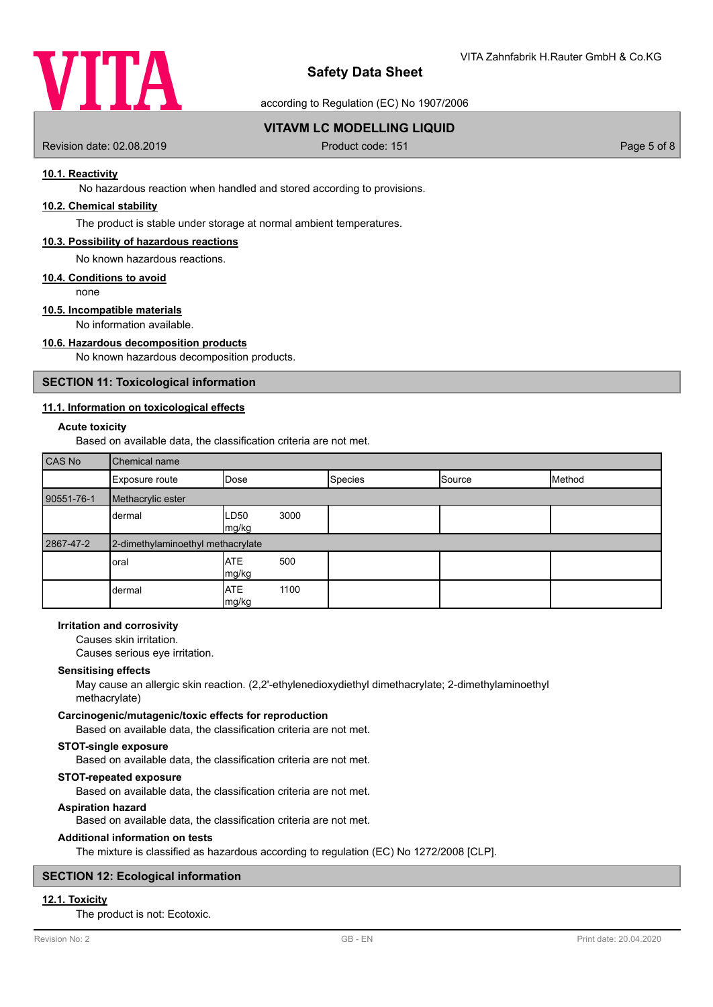

according to Regulation (EC) No 1907/2006

## **VITAVM LC MODELLING LIQUID**

Revision date: 02.08.2019 **Product code: 151** Product code: 151 **Page 5 of 8** Page 5 of 8

#### **10.1. Reactivity**

No hazardous reaction when handled and stored according to provisions.

## **10.2. Chemical stability**

The product is stable under storage at normal ambient temperatures.

#### **10.3. Possibility of hazardous reactions**

No known hazardous reactions.

#### **10.4. Conditions to avoid**

none

# **10.5. Incompatible materials**

No information available.

#### **10.6. Hazardous decomposition products**

No known hazardous decomposition products.

#### **SECTION 11: Toxicological information**

#### **11.1. Information on toxicological effects**

#### **Acute toxicity**

Based on available data, the classification criteria are not met.

| CAS No     | Chemical name                     |                     |      |                |        |        |
|------------|-----------------------------------|---------------------|------|----------------|--------|--------|
|            | Exposure route                    | Dose                |      | <b>Species</b> | Source | Method |
| 90551-76-1 | Methacrylic ester                 |                     |      |                |        |        |
|            | dermal                            | LD50<br>mg/kg       | 3000 |                |        |        |
| 2867-47-2  | 2-dimethylaminoethyl methacrylate |                     |      |                |        |        |
|            | oral                              | <b>ATE</b><br>mg/kg | 500  |                |        |        |
|            | dermal                            | <b>ATE</b><br>mg/kg | 1100 |                |        |        |

#### **Irritation and corrosivity**

Causes skin irritation.

Causes serious eye irritation.

#### **Sensitising effects**

May cause an allergic skin reaction. (2,2'-ethylenedioxydiethyl dimethacrylate; 2-dimethylaminoethyl methacrylate)

#### **Carcinogenic/mutagenic/toxic effects for reproduction**

Based on available data, the classification criteria are not met.

#### **STOT-single exposure**

Based on available data, the classification criteria are not met.

#### **STOT-repeated exposure**

Based on available data, the classification criteria are not met.

#### **Aspiration hazard**

Based on available data, the classification criteria are not met.

#### **Additional information on tests**

The mixture is classified as hazardous according to regulation (EC) No 1272/2008 [CLP].

# **SECTION 12: Ecological information**

#### **12.1. Toxicity**

The product is not: Ecotoxic.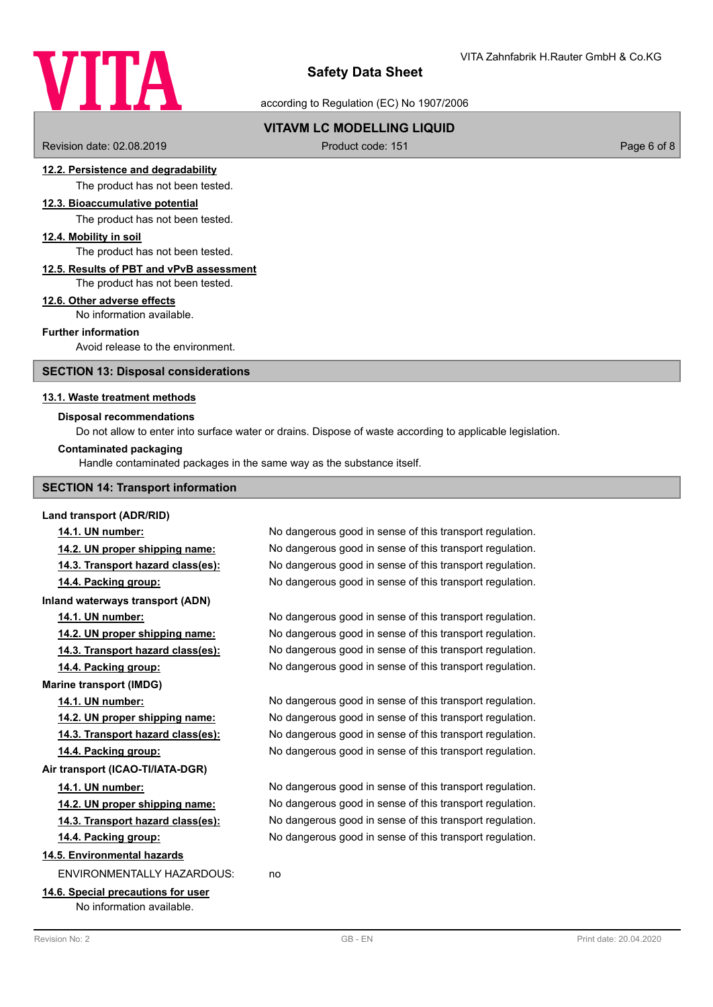# VITA

# **Safety Data Sheet**

according to Regulation (EC) No 1907/2006

# **VITAVM LC MODELLING LIQUID**

Revision date: 02.08.2019 **Product code: 151** Product code: 151 **Page 6 of 8** Page 6 of 8

#### **12.2. Persistence and degradability**

The product has not been tested.

# **12.3. Bioaccumulative potential**

The product has not been tested.

#### **12.4. Mobility in soil**

The product has not been tested.

#### **12.5. Results of PBT and vPvB assessment**

The product has not been tested.

#### **12.6. Other adverse effects**

No information available.

## **Further information**

Avoid release to the environment.

#### **SECTION 13: Disposal considerations**

#### **13.1. Waste treatment methods**

#### **Disposal recommendations**

Do not allow to enter into surface water or drains. Dispose of waste according to applicable legislation.

#### **Contaminated packaging**

Handle contaminated packages in the same way as the substance itself.

#### **SECTION 14: Transport information**

#### **Land transport (ADR/RID)**

**Inland waterways transport (ADN)**

**Marine transport (IMDG)**

#### **Air transport (ICAO-TI/IATA-DGR)**

#### **14.5. Environmental hazards**

ENVIRONMENTALLY HAZARDOUS: no

#### **14.6. Special precautions for user** No information available.

**14.1. UN number:** No dangerous good in sense of this transport regulation. **14.2. UN proper shipping name:** No dangerous good in sense of this transport regulation. **14.3. Transport hazard class(es):** No dangerous good in sense of this transport regulation. **14.4. Packing group:** No dangerous good in sense of this transport regulation.

**14.1. UN number:** No dangerous good in sense of this transport regulation. **14.2. UN proper shipping name:** No dangerous good in sense of this transport regulation. **14.3. Transport hazard class(es):** No dangerous good in sense of this transport regulation. **14.4. Packing group:** No dangerous good in sense of this transport regulation.

**14.1. UN number:** No dangerous good in sense of this transport regulation. **14.2. UN proper shipping name:** No dangerous good in sense of this transport regulation. **14.3. Transport hazard class(es):** No dangerous good in sense of this transport regulation. **14.4. Packing group:** No dangerous good in sense of this transport regulation.

**14.1. UN number:** No dangerous good in sense of this transport regulation. **14.2. UN proper shipping name:** No dangerous good in sense of this transport regulation. **14.3. Transport hazard class(es):** No dangerous good in sense of this transport regulation. **14.4. Packing group:** No dangerous good in sense of this transport regulation.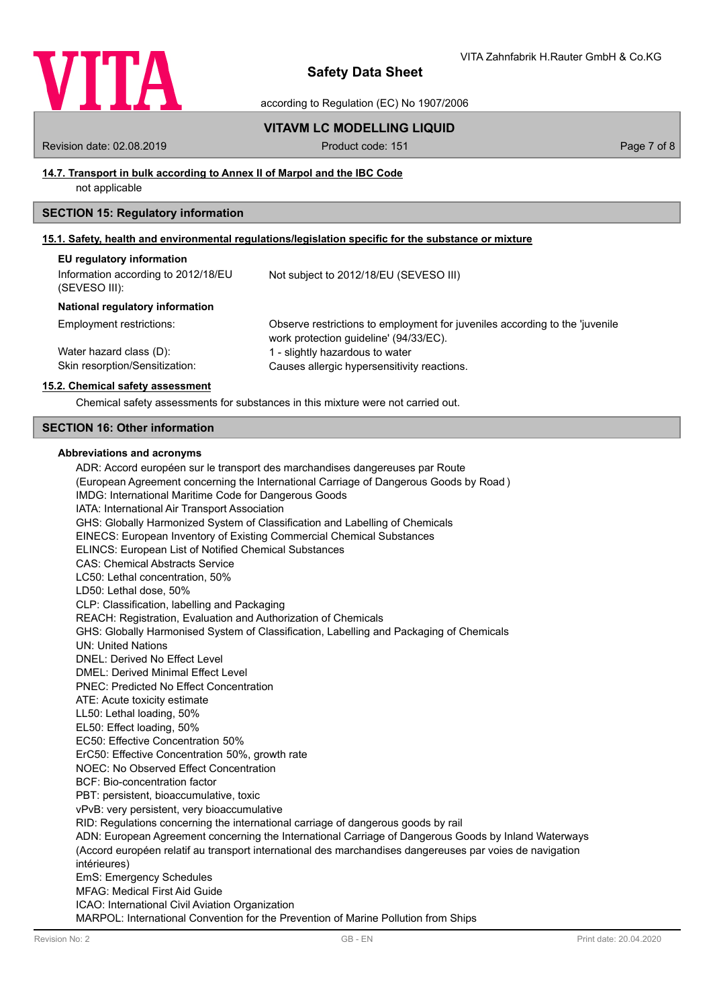

according to Regulation (EC) No 1907/2006

#### **VITAVM LC MODELLING LIQUID**

Revision date: 02.08.2019 **Product code: 151** Product code: 151 **Page 7 of 8** Page 7 of 8

#### **14.7. Transport in bulk according to Annex II of Marpol and the IBC Code**

not applicable

#### **SECTION 15: Regulatory information**

#### **15.1. Safety, health and environmental regulations/legislation specific for the substance or mixture**

| EU regulatory information                            |                                                                                                                       |
|------------------------------------------------------|-----------------------------------------------------------------------------------------------------------------------|
| Information according to 2012/18/EU<br>(SEVESO III): | Not subject to 2012/18/EU (SEVESO III)                                                                                |
| National regulatory information                      |                                                                                                                       |
| Employment restrictions:                             | Observe restrictions to employment for juveniles according to the 'juvenile<br>work protection guideline' (94/33/EC). |
| Water hazard class (D):                              | 1 - slightly hazardous to water                                                                                       |
| Skin resorption/Sensitization:                       | Causes allergic hypersensitivity reactions.                                                                           |

#### **15.2. Chemical safety assessment**

Chemical safety assessments for substances in this mixture were not carried out.

#### **SECTION 16: Other information**

#### **Abbreviations and acronyms**

ADR: Accord européen sur le transport des marchandises dangereuses par Route (European Agreement concerning the International Carriage of Dangerous Goods by Road ) IMDG: International Maritime Code for Dangerous Goods IATA: International Air Transport Association GHS: Globally Harmonized System of Classification and Labelling of Chemicals EINECS: European Inventory of Existing Commercial Chemical Substances ELINCS: European List of Notified Chemical Substances CAS: Chemical Abstracts Service LC50: Lethal concentration, 50% LD50: Lethal dose, 50% CLP: Classification, labelling and Packaging REACH: Registration, Evaluation and Authorization of Chemicals GHS: Globally Harmonised System of Classification, Labelling and Packaging of Chemicals UN: United Nations DNEL: Derived No Effect Level DMEL: Derived Minimal Effect Level PNEC: Predicted No Effect Concentration ATE: Acute toxicity estimate LL50: Lethal loading, 50% EL50: Effect loading, 50% EC50: Effective Concentration 50% ErC50: Effective Concentration 50%, growth rate NOEC: No Observed Effect Concentration BCF: Bio-concentration factor PBT: persistent, bioaccumulative, toxic vPvB: very persistent, very bioaccumulative RID: Regulations concerning the international carriage of dangerous goods by rail ADN: European Agreement concerning the International Carriage of Dangerous Goods by Inland Waterways (Accord européen relatif au transport international des marchandises dangereuses par voies de navigation intérieures) EmS: Emergency Schedules MFAG: Medical First Aid Guide ICAO: International Civil Aviation Organization MARPOL: International Convention for the Prevention of Marine Pollution from Ships